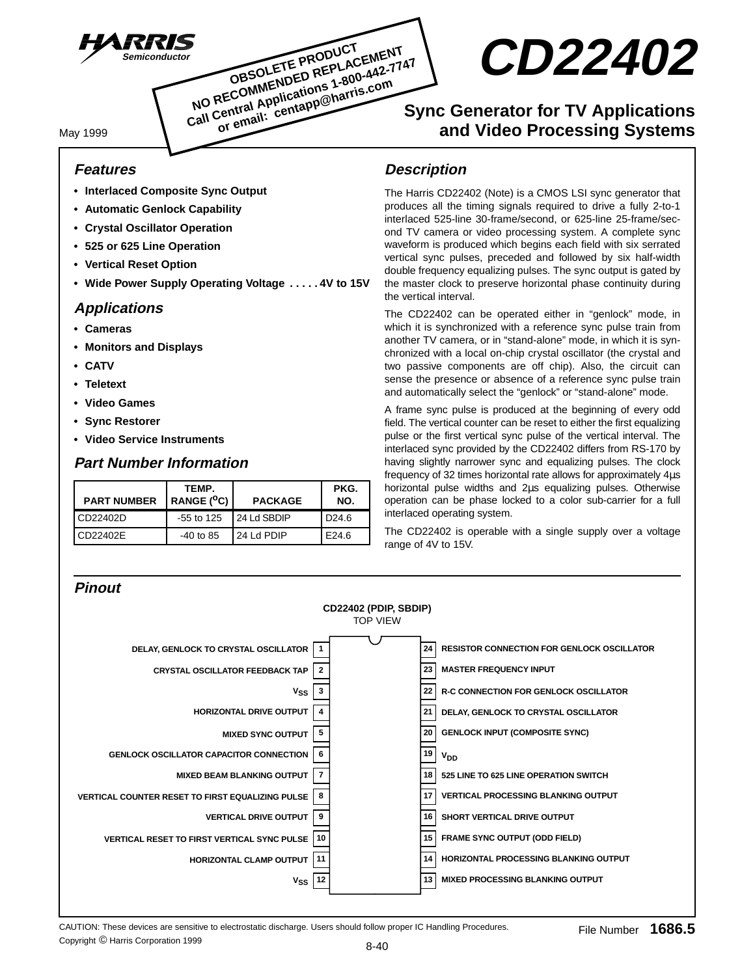

**CD22402**

# **Sync Generator for TV Applications and Video Processing Systems**

May 1999

## **Features**

- **Interlaced Composite Sync Output**
- **Automatic Genlock Capability**
- **Crystal Oscillator Operation**
- **525 or 625 Line Operation**
- **Vertical Reset Option**
- **Wide Power Supply Operating Voltage . . . . . 4V to 15V**

## **Applications**

- **Cameras**
- **Monitors and Displays**
- **CATV**
- **Teletext**
- **Video Games**
- **Sync Restorer**
- **Video Service Instruments**

## **Part Number Information**

| <b>PART NUMBER</b> | TEMP.<br>RANGE $(^0C)$ | <b>PACKAGE</b> | PKG.<br>NO.       |  |
|--------------------|------------------------|----------------|-------------------|--|
| CD22402D           | $-55$ to 125           | I 24 Ld SBDIP  | D <sub>24.6</sub> |  |
| CD22402E           | $-40$ to 85            | 24 Ld PDIP     | E24.6             |  |

## **Description**

The Harris CD22402 (Note) is a CMOS LSI sync generator that produces all the timing signals required to drive a fully 2-to-1 interlaced 525-line 30-frame/second, or 625-line 25-frame/second TV camera or video processing system. A complete sync waveform is produced which begins each field with six serrated vertical sync pulses, preceded and followed by six half-width double frequency equalizing pulses. The sync output is gated by the master clock to preserve horizontal phase continuity during the vertical interval.

The CD22402 can be operated either in "genlock" mode, in which it is synchronized with a reference sync pulse train from another TV camera, or in "stand-alone" mode, in which it is synchronized with a local on-chip crystal oscillator (the crystal and two passive components are off chip). Also, the circuit can sense the presence or absence of a reference sync pulse train and automatically select the "genlock" or "stand-alone" mode.

A frame sync pulse is produced at the beginning of every odd field. The vertical counter can be reset to either the first equalizing pulse or the first vertical sync pulse of the vertical interval. The interlaced sync provided by the CD22402 differs from RS-170 by having slightly narrower sync and equalizing pulses. The clock frequency of 32 times horizontal rate allows for approximately 4µs horizontal pulse widths and 2µs equalizing pulses. Otherwise operation can be phase locked to a color sub-carrier for a full interlaced operating system.

The CD22402 is operable with a single supply over a voltage range of 4V to 15V.



CAUTION: These devices are sensitive to electrostatic discharge. Users should follow proper IC Handling Procedures.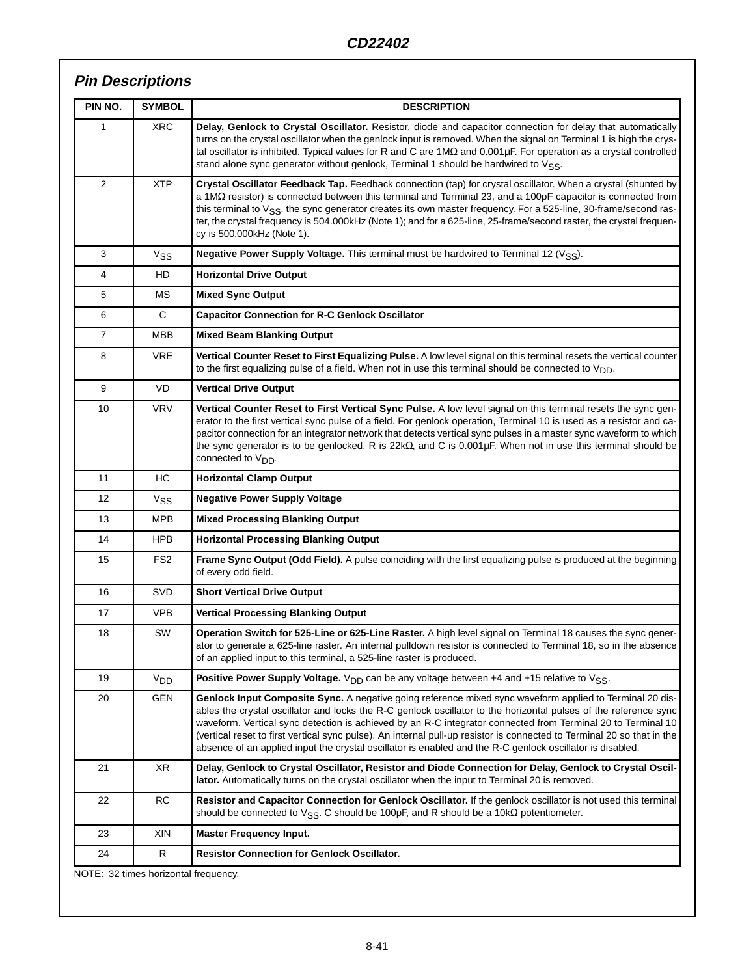# **Pin Descriptions**

| PIN NO.        | <b>SYMBOL</b>         | <b>DESCRIPTION</b>                                                                                                                                                                                                                                                                                                                                                                                                                                                                                                                                                                  |
|----------------|-----------------------|-------------------------------------------------------------------------------------------------------------------------------------------------------------------------------------------------------------------------------------------------------------------------------------------------------------------------------------------------------------------------------------------------------------------------------------------------------------------------------------------------------------------------------------------------------------------------------------|
| 1              | <b>XRC</b>            | Delay, Genlock to Crystal Oscillator. Resistor, diode and capacitor connection for delay that automatically<br>turns on the crystal oscillator when the genlock input is removed. When the signal on Terminal 1 is high the crys-<br>tal oscillator is inhibited. Typical values for R and C are $1M\Omega$ and $0.001\mu F$ . For operation as a crystal controlled<br>stand alone sync generator without genlock, Terminal 1 should be hardwired to VSS.                                                                                                                          |
| 2              | <b>XTP</b>            | Crystal Oscillator Feedback Tap. Feedback connection (tap) for crystal oscillator. When a crystal (shunted by<br>a 1M $\Omega$ resistor) is connected between this terminal and Terminal 23, and a 100pF capacitor is connected from<br>this terminal to V <sub>SS</sub> , the sync generator creates its own master frequency. For a 525-line, 30-frame/second ras-<br>ter, the crystal frequency is 504.000kHz (Note 1); and for a 625-line, 25-frame/second raster, the crystal frequen-<br>cy is 500.000kHz (Note 1).                                                           |
| 3              | V <sub>SS</sub>       | <b>Negative Power Supply Voltage.</b> This terminal must be hardwired to Terminal 12 (V <sub>SS</sub> ).                                                                                                                                                                                                                                                                                                                                                                                                                                                                            |
| 4              | HD                    | <b>Horizontal Drive Output</b>                                                                                                                                                                                                                                                                                                                                                                                                                                                                                                                                                      |
| 5              | МS                    | <b>Mixed Sync Output</b>                                                                                                                                                                                                                                                                                                                                                                                                                                                                                                                                                            |
| 6              | C                     | <b>Capacitor Connection for R-C Genlock Oscillator</b>                                                                                                                                                                                                                                                                                                                                                                                                                                                                                                                              |
| $\overline{7}$ | MBB                   | <b>Mixed Beam Blanking Output</b>                                                                                                                                                                                                                                                                                                                                                                                                                                                                                                                                                   |
| 8              | <b>VRE</b>            | Vertical Counter Reset to First Equalizing Pulse. A low level signal on this terminal resets the vertical counter<br>to the first equalizing pulse of a field. When not in use this terminal should be connected to $V_{DD}$ .                                                                                                                                                                                                                                                                                                                                                      |
| 9              | VD                    | <b>Vertical Drive Output</b>                                                                                                                                                                                                                                                                                                                                                                                                                                                                                                                                                        |
| 10             | <b>VRV</b>            | Vertical Counter Reset to First Vertical Sync Pulse. A low level signal on this terminal resets the sync gen-<br>erator to the first vertical sync pulse of a field. For genlock operation, Terminal 10 is used as a resistor and ca-<br>pacitor connection for an integrator network that detects vertical sync pulses in a master sync waveform to which<br>the sync generator is to be genlocked. R is $22k\Omega$ , and C is $0.001\mu$ F. When not in use this terminal should be<br>connected to V <sub>DD</sub> .                                                            |
| 11             | HC                    | <b>Horizontal Clamp Output</b>                                                                                                                                                                                                                                                                                                                                                                                                                                                                                                                                                      |
| 12             | <b>V<sub>SS</sub></b> | <b>Negative Power Supply Voltage</b>                                                                                                                                                                                                                                                                                                                                                                                                                                                                                                                                                |
| 13             | <b>MPB</b>            | <b>Mixed Processing Blanking Output</b>                                                                                                                                                                                                                                                                                                                                                                                                                                                                                                                                             |
| 14             | <b>HPB</b>            | <b>Horizontal Processing Blanking Output</b>                                                                                                                                                                                                                                                                                                                                                                                                                                                                                                                                        |
| 15             | FS <sub>2</sub>       | Frame Sync Output (Odd Field). A pulse coinciding with the first equalizing pulse is produced at the beginning<br>of every odd field.                                                                                                                                                                                                                                                                                                                                                                                                                                               |
| 16             | <b>SVD</b>            | <b>Short Vertical Drive Output</b>                                                                                                                                                                                                                                                                                                                                                                                                                                                                                                                                                  |
| 17             | <b>VPB</b>            | <b>Vertical Processing Blanking Output</b>                                                                                                                                                                                                                                                                                                                                                                                                                                                                                                                                          |
| 18             | SW                    | Operation Switch for 525-Line or 625-Line Raster. A high level signal on Terminal 18 causes the sync gener-<br>ator to generate a 625-line raster. An internal pulldown resistor is connected to Terminal 18, so in the absence<br>of an applied input to this terminal, a 525-line raster is produced.                                                                                                                                                                                                                                                                             |
| 19             | V <sub>DD</sub>       | <b>Positive Power Supply Voltage.</b> V <sub>DD</sub> can be any voltage between +4 and +15 relative to V <sub>SS</sub> .                                                                                                                                                                                                                                                                                                                                                                                                                                                           |
| 20             | <b>GEN</b>            | Genlock Input Composite Sync. A negative going reference mixed sync waveform applied to Terminal 20 dis-<br>ables the crystal oscillator and locks the R-C genlock oscillator to the horizontal pulses of the reference sync<br>waveform. Vertical sync detection is achieved by an R-C integrator connected from Terminal 20 to Terminal 10<br>(vertical reset to first vertical sync pulse). An internal pull-up resistor is connected to Terminal 20 so that in the<br>absence of an applied input the crystal oscillator is enabled and the R-C genlock oscillator is disabled. |
| 21             | XR                    | Delay, Genlock to Crystal Oscillator, Resistor and Diode Connection for Delay, Genlock to Crystal Oscil-<br>lator. Automatically turns on the crystal oscillator when the input to Terminal 20 is removed.                                                                                                                                                                                                                                                                                                                                                                          |
| 22             | <b>RC</b>             | Resistor and Capacitor Connection for Genlock Oscillator. If the genlock oscillator is not used this terminal<br>should be connected to $V_{SS}$ . C should be 100pF, and R should be a 10k $\Omega$ potentiometer.                                                                                                                                                                                                                                                                                                                                                                 |
| 23             | XIN                   | <b>Master Frequency Input.</b>                                                                                                                                                                                                                                                                                                                                                                                                                                                                                                                                                      |
| 24             | R                     | <b>Resistor Connection for Genlock Oscillator.</b>                                                                                                                                                                                                                                                                                                                                                                                                                                                                                                                                  |

NOTE: 32 times horizontal frequency.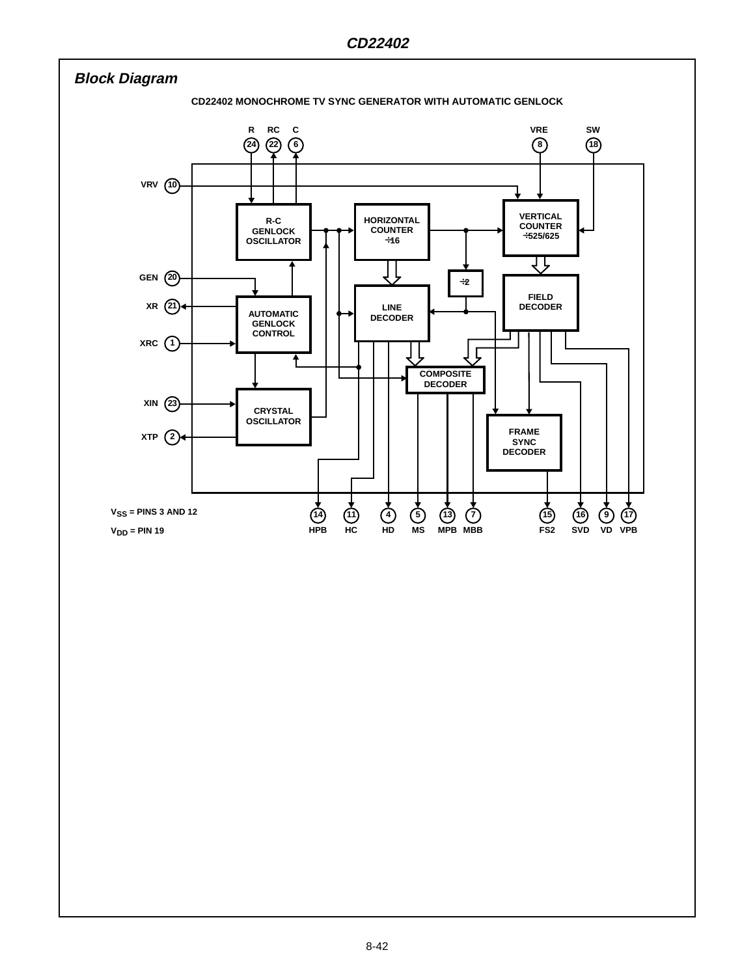![](_page_2_Figure_1.jpeg)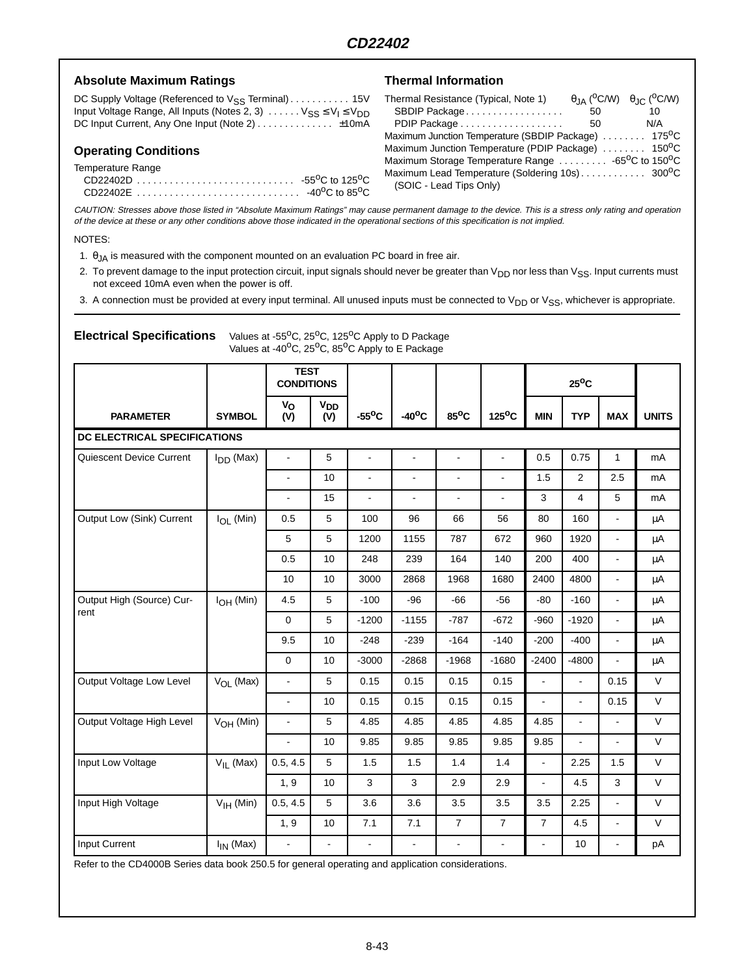## Absolute Maximum Ratings **National Information**

DC Supply Voltage (Referenced to V<sub>SS</sub> Terminal) . . . . . . . . . . 15V Input Voltage Range, All Inputs (Notes 2, 3)  $\ldots \ldots \vee_{SS} \leq V_I \leq V_{DD}$ DC Input Current, Any One Input (Note 2) . . . . . . . . . . . . . ±10mA

## **Operating Conditions**

Temperature Range

|  | -55 <sup>0</sup> C to 125 <sup>0</sup> C |
|--|------------------------------------------|
|  | -40 <sup>o</sup> C to 85 <sup>o</sup> C  |

| Thermal Resistance (Typical, Note 1)                                        |    | $\theta$ IA ( <sup>O</sup> C/W) $\theta$ IC ( <sup>O</sup> C/W) |
|-----------------------------------------------------------------------------|----|-----------------------------------------------------------------|
| SBDIP Package                                                               | 50 | 10                                                              |
| PDIP Package                                                                | 50 | N/A                                                             |
| Maximum Junction Temperature (SBDIP Package)  175 <sup>0</sup> C            |    |                                                                 |
| Maximum Junction Temperature (PDIP Package)  150 <sup>o</sup> C             |    |                                                                 |
| Maximum Storage Temperature Range  -65 <sup>o</sup> C to 150 <sup>o</sup> C |    |                                                                 |
|                                                                             |    |                                                                 |
| (SOIC - Lead Tips Only)                                                     |    |                                                                 |

CAUTION: Stresses above those listed in "Absolute Maximum Ratings" may cause permanent damage to the device. This is <sup>a</sup> stress only rating and operation of the device at these or any other conditions above those indicated in the operational sections of this specification is not implied.

#### NOTES:

1.  $\theta_{JA}$  is measured with the component mounted on an evaluation PC board in free air.

Electrical Specifications Values at -55<sup>o</sup>C, 25<sup>o</sup>C, 125<sup>o</sup>C Apply to D Package

2. To prevent damage to the input protection circuit, input signals should never be greater than  $V_{DD}$  nor less than  $V_{SS}$ . Input currents must not exceed 10mA even when the power is off.

3. A connection must be provided at every input terminal. All unused inputs must be connected to  $V_{DD}$  or  $V_{SS}$ , whichever is appropriate.

|                              |                | Values at -40°C, 25°C, 85°C Apply to E Package |                              |                 |                 |                |                 |                          |                |                |              |
|------------------------------|----------------|------------------------------------------------|------------------------------|-----------------|-----------------|----------------|-----------------|--------------------------|----------------|----------------|--------------|
|                              |                | <b>TEST</b><br><b>CONDITIONS</b>               |                              |                 |                 |                |                 | $25^{\circ}$ C           |                |                |              |
| <b>PARAMETER</b>             | <b>SYMBOL</b>  | Vo<br>(V)                                      | <b>V<sub>DD</sub></b><br>(V) | $-55^{\circ}$ C | $-40^{\circ}$ C | $85^{\circ}$ C | $125^{\circ}$ C | <b>MIN</b>               | <b>TYP</b>     | <b>MAX</b>     | <b>UNITS</b> |
| DC ELECTRICAL SPECIFICATIONS |                |                                                |                              |                 |                 |                |                 |                          |                |                |              |
| Quiescent Device Current     | $I_{DD}$ (Max) | $\blacksquare$                                 | 5                            | $\blacksquare$  | ÷,              | ä,             | $\blacksquare$  | 0.5                      | 0.75           | $\mathbf{1}$   | mA           |
|                              |                | $\blacksquare$                                 | 10                           | $\blacksquare$  | $\blacksquare$  | ÷,             | $\blacksquare$  | 1.5                      | $\overline{2}$ | 2.5            | mA           |
|                              |                | $\overline{\phantom{a}}$                       | 15                           | ÷,              | ٠               | ÷,             |                 | 3                        | 4              | 5              | mA           |
| Output Low (Sink) Current    | $I_{OL}$ (Min) | 0.5                                            | 5                            | 100             | 96              | 66             | 56              | 80                       | 160            | ä,             | μA           |
|                              |                | 5                                              | 5                            | 1200            | 1155            | 787            | 672             | 960                      | 1920           | ä,             | μA           |
|                              |                | 0.5                                            | 10                           | 248             | 239             | 164            | 140             | 200                      | 400            | ÷.             | μA           |
|                              |                | 10                                             | 10                           | 3000            | 2868            | 1968           | 1680            | 2400                     | 4800           | $\blacksquare$ | μA           |
| Output High (Source) Cur-    | $IOH$ (Min)    | 4.5                                            | 5                            | $-100$          | $-96$           | $-66$          | $-56$           | $-80$                    | $-160$         | $\blacksquare$ | μA           |
| rent                         |                | $\mathbf 0$                                    | 5                            | $-1200$         | $-1155$         | $-787$         | $-672$          | $-960$                   | $-1920$        | $\blacksquare$ | μA           |
|                              |                | 9.5                                            | 10                           | $-248$          | $-239$          | $-164$         | $-140$          | $-200$                   | $-400$         | $\blacksquare$ | μA           |
|                              |                | $\mathbf 0$                                    | 10                           | $-3000$         | $-2868$         | $-1968$        | $-1680$         | $-2400$                  | $-4800$        | $\blacksquare$ | μA           |
| Output Voltage Low Level     | $V_{OL}$ (Max) | $\Box$                                         | 5                            | 0.15            | 0.15            | 0.15           | 0.15            | $\blacksquare$           | $\overline{a}$ | 0.15           | V            |
|                              |                | $\blacksquare$                                 | 10                           | 0.15            | 0.15            | 0.15           | 0.15            | $\blacksquare$           | $\Box$         | 0.15           | V            |
| Output Voltage High Level    | $VOH$ (Min)    | $\blacksquare$                                 | 5                            | 4.85            | 4.85            | 4.85           | 4.85            | 4.85                     | ä,             | ä,             | V            |
|                              |                | $\blacksquare$                                 | 10                           | 9.85            | 9.85            | 9.85           | 9.85            | 9.85                     | $\blacksquare$ | $\blacksquare$ | V            |
| Input Low Voltage            | $V_{IL}$ (Max) | 0.5, 4.5                                       | 5                            | 1.5             | 1.5             | 1.4            | 1.4             | $\overline{\phantom{0}}$ | 2.25           | 1.5            | V            |
|                              |                | 1, 9                                           | 10                           | 3               | 3               | 2.9            | 2.9             | ÷.                       | 4.5            | 3              | V            |
| Input High Voltage           | $VIH$ (Min)    | 0.5, 4.5                                       | 5                            | 3.6             | 3.6             | 3.5            | 3.5             | 3.5                      | 2.25           | ÷.             | V            |
|                              |                | 1, 9                                           | 10                           | 7.1             | 7.1             | $\overline{7}$ | $\overline{7}$  | $\overline{7}$           | 4.5            | ÷.             | V            |
| Input Current                | $I_{IN}$ (Max) | $\blacksquare$                                 |                              | $\overline{a}$  | $\blacksquare$  | $\blacksquare$ |                 | ÷                        | 10             |                | pA           |

Refer to the CD4000B Series data book 250.5 for general operating and application considerations.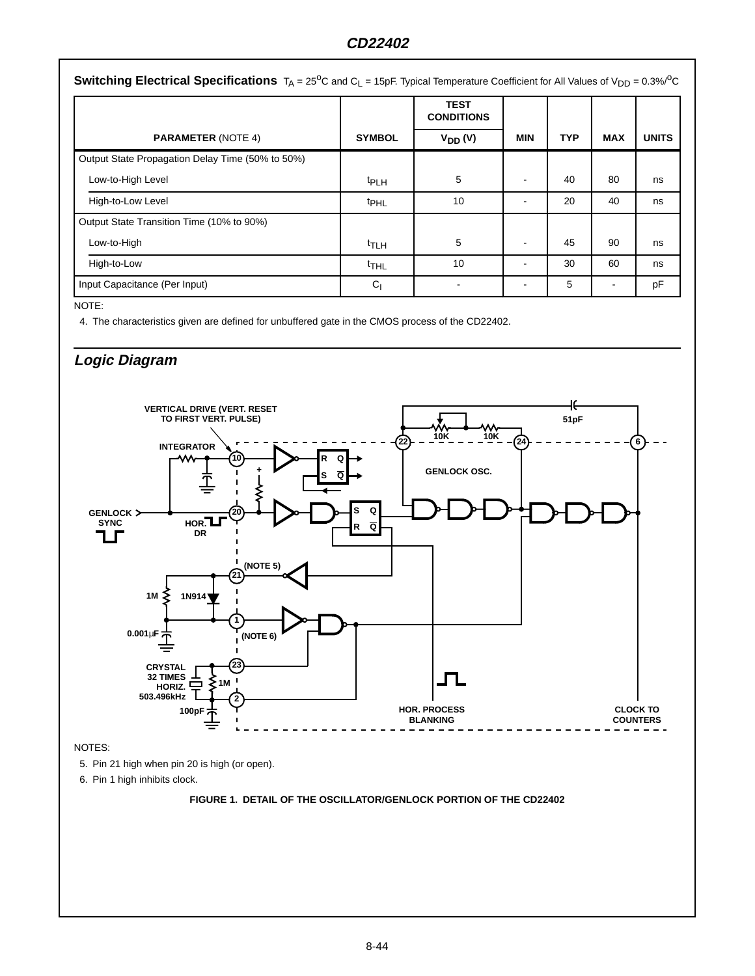## **CD22402**

|                                                  |                  | <b>TEST</b><br><b>CONDITIONS</b> |            |     |            |              |
|--------------------------------------------------|------------------|----------------------------------|------------|-----|------------|--------------|
| <b>PARAMETER (NOTE 4)</b>                        | <b>SYMBOL</b>    | $V_{DD} (V)$                     | <b>MIN</b> | TYP | <b>MAX</b> | <b>UNITS</b> |
| Output State Propagation Delay Time (50% to 50%) |                  |                                  |            |     |            |              |
| Low-to-High Level                                | <sup>t</sup> PLH | 5                                | ٠          | 40  | 80         | ns           |
| High-to-Low Level                                | <sup>t</sup> PHL | 10                               | ۰          | 20  | 40         | ns           |
| Output State Transition Time (10% to 90%)        |                  |                                  |            |     |            |              |
| Low-to-High                                      | <sup>t</sup> TLH | 5                                | ۰          | 45  | 90         | ns           |
| High-to-Low                                      | $t$ THL          | 10                               | ۰          | 30  | 60         | ns           |
| Input Capacitance (Per Input)                    | C <sub>1</sub>   |                                  | ۰          | 5   |            | pF           |

NOTE:

4. The characteristics given are defined for unbuffered gate in the CMOS process of the CD22402.

## **Logic Diagram**

![](_page_4_Figure_5.jpeg)

NOTES:

5. Pin 21 high when pin 20 is high (or open).

6. Pin 1 high inhibits clock.

### **FIGURE 1. DETAIL OF THE OSCILLATOR/GENLOCK PORTION OF THE CD22402**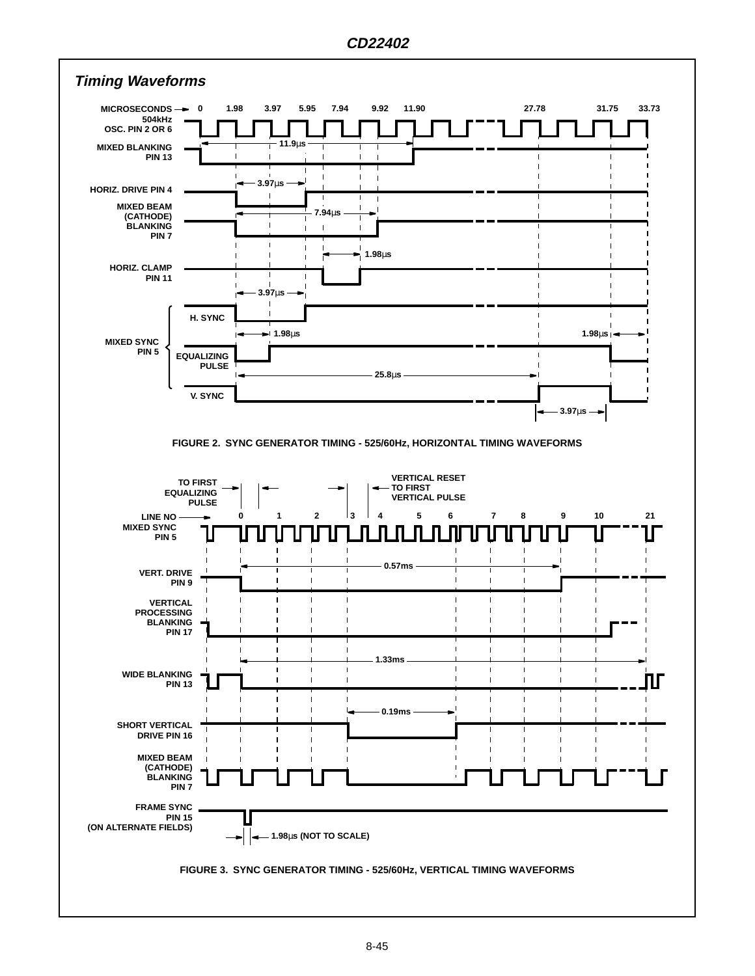![](_page_5_Figure_1.jpeg)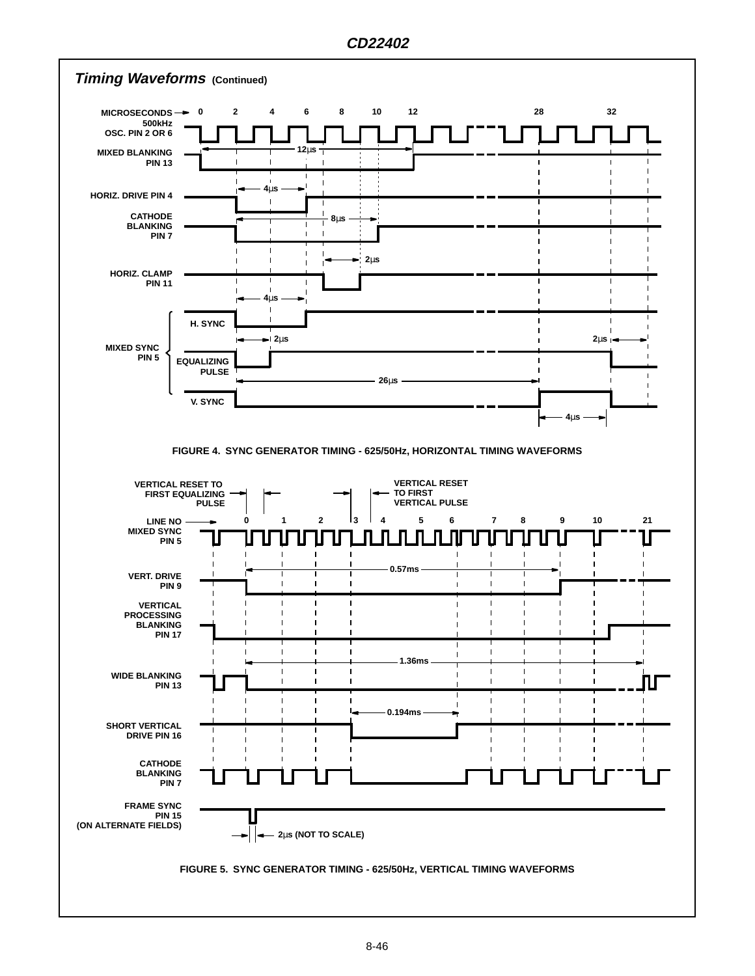![](_page_6_Figure_1.jpeg)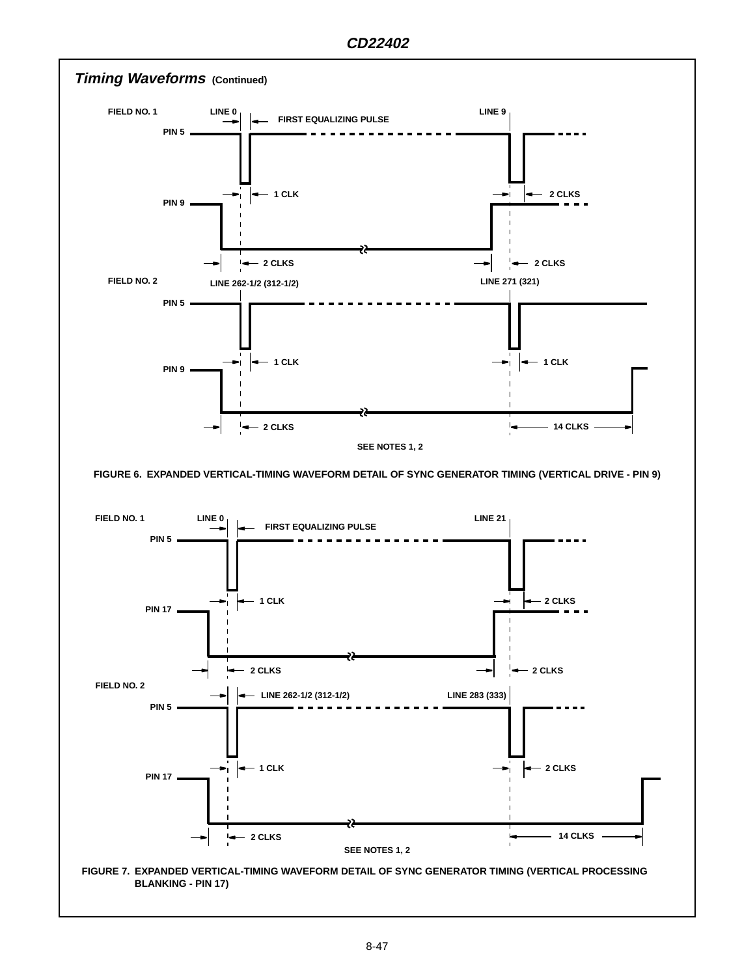![](_page_7_Figure_1.jpeg)

![](_page_7_Figure_2.jpeg)

**BLANKING - PIN 17)**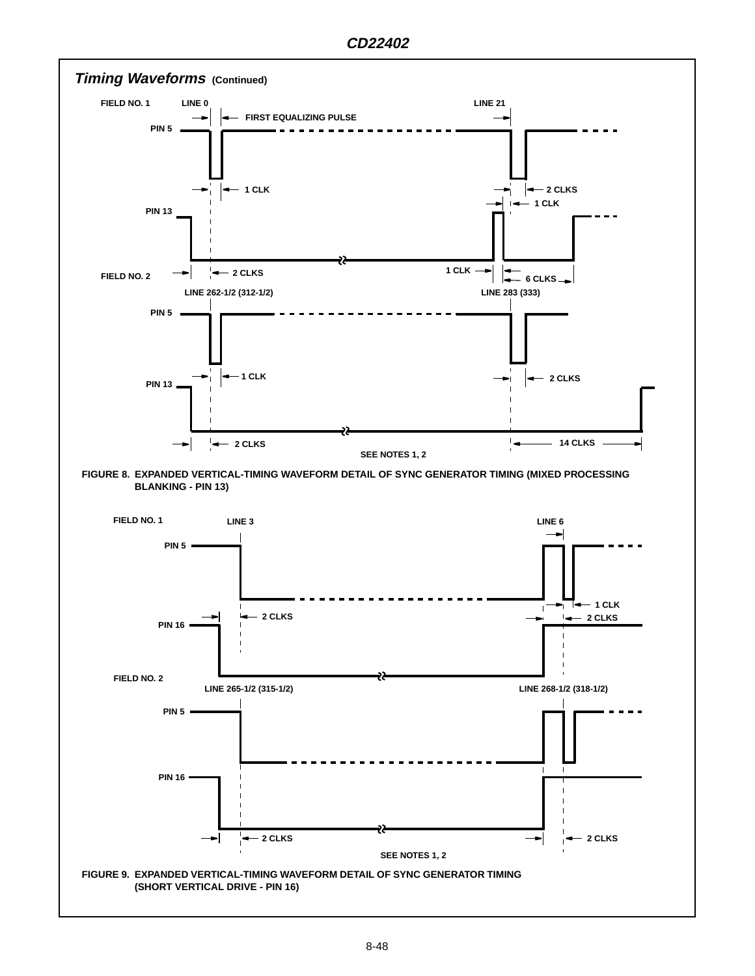![](_page_8_Figure_1.jpeg)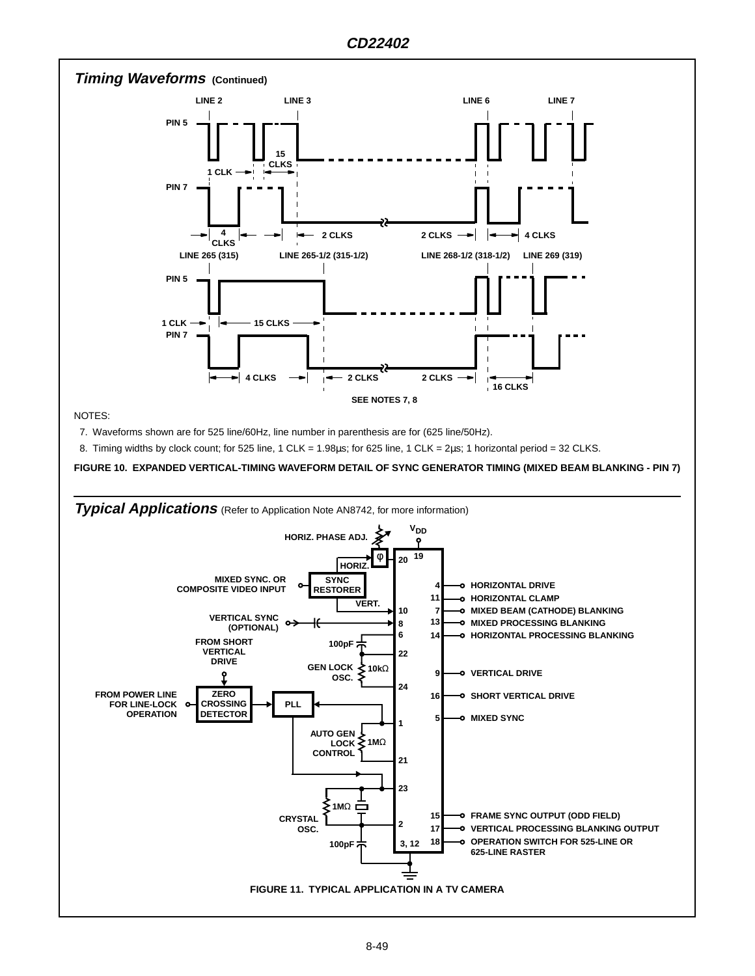![](_page_9_Figure_1.jpeg)